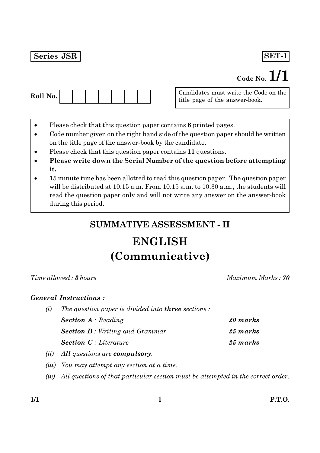### **Series JSR**

## SET-1

# Code No.  $1/1$

Roll No.

Candidates must write the Code on the title page of the answer-book.

- Please check that this question paper contains 8 printed pages.
- Code number given on the right hand side of the question paper should be written on the title page of the answer-book by the candidate.
- Please check that this question paper contains 11 questions.
- Please write down the Serial Number of the question before attempting  $\bullet$ it.
- 15 minute time has been allotted to read this question paper. The question paper will be distributed at 10.15 a.m. From 10.15 a.m. to 10.30 a.m., the students will read the question paper only and will not write any answer on the answer-book during this period.

# SUMMATIVE ASSESSMENT - II

# **ENGLISH** (Communicative)

### $Time allowed:3 hours$

Maximum Marks: 70

### **General Instructions:**

 $(i)$ The question paper is divided into **three** sections :

| <b>Section A</b> : Reading             | 20 marks |
|----------------------------------------|----------|
| <b>Section B</b> : Writing and Grammar | 25 marks |
| <b>Section C</b> : Literature          | 25 marks |

- (ii) All questions are compulsory.
- (iii) You may attempt any section at a time.
- (iv) All questions of that particular section must be attempted in the correct order.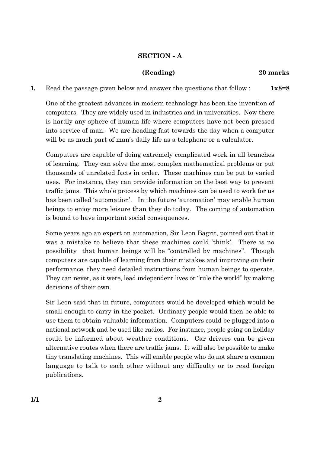#### **SECTION - A**

#### (Reading)

#### $1.$ Read the passage given below and answer the questions that follow:  $1x8=8$

One of the greatest advances in modern technology has been the invention of computers. They are widely used in industries and in universities. Now there is hardly any sphere of human life where computers have not been pressed into service of man. We are heading fast towards the day when a computer will be as much part of man's daily life as a telephone or a calculator.

Computers are capable of doing extremely complicated work in all branches of learning. They can solve the most complex mathematical problems or put thousands of unrelated facts in order. These machines can be put to varied uses. For instance, they can provide information on the best way to prevent traffic jams. This whole process by which machines can be used to work for us has been called 'automation'. In the future 'automation' may enable human beings to enjoy more leisure than they do today. The coming of automation is bound to have important social consequences.

Some vears ago an expert on automation. Sir Leon Bagrit, pointed out that it was a mistake to believe that these machines could 'think'. There is no possibility that human beings will be "controlled by machines". Though computers are capable of learning from their mistakes and improving on their performance, they need detailed instructions from human beings to operate. They can never, as it were, lead independent lives or "rule the world" by making decisions of their own.

Sir Leon said that in future, computers would be developed which would be small enough to carry in the pocket. Ordinary people would then be able to use them to obtain valuable information. Computers could be plugged into a national network and be used like radios. For instance, people going on holiday could be informed about weather conditions. Car drivers can be given alternative routes when there are traffic jams. It will also be possible to make tiny translating machines. This will enable people who do not share a common language to talk to each other without any difficulty or to read foreign publications.

20 marks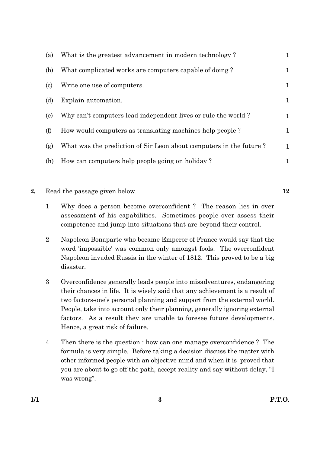| (a)                        | What is the greatest advancement in modern technology?             |   |
|----------------------------|--------------------------------------------------------------------|---|
| (b)                        | What complicated works are computers capable of doing?             | 1 |
| $\left( \mathrm{c}\right)$ | Write one use of computers.                                        | 1 |
| (d)                        | Explain automation.                                                | 1 |
| (e)                        | Why can't computers lead independent lives or rule the world?      | 1 |
| (f)                        | How would computers as translating machines help people?           | 1 |
| (g)                        | What was the prediction of Sir Leon about computers in the future? | 1 |
| (h)                        | How can computers help people going on holiday?                    | 1 |

- $2.$ Read the passage given below.
	- Why does a person become overconfident? The reason lies in over  $\mathbf{1}$ assessment of his capabilities. Sometimes people over assess their competence and jump into situations that are beyond their control.
	- $\overline{2}$ Napoleon Bonaparte who became Emperor of France would say that the word 'impossible' was common only amongst fools. The overconfident Napoleon invaded Russia in the winter of 1812. This proved to be a big disaster.
	- 3 Overconfidence generally leads people into misadventures, endangering their chances in life. It is wisely said that any achievement is a result of two factors-one's personal planning and support from the external world. People, take into account only their planning, generally ignoring external factors. As a result they are unable to foresee future developments. Hence, a great risk of failure.
	- $\overline{4}$ Then there is the question : how can one manage overconfidence? The formula is very simple. Before taking a decision discuss the matter with other informed people with an objective mind and when it is proved that you are about to go off the path, accept reality and say without delay, "I was wrong".

12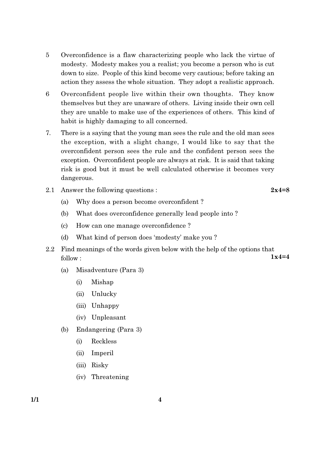- $\overline{5}$ Overconfidence is a flaw characterizing people who lack the virtue of modesty. Modesty makes you a realist; you become a person who is cut down to size. People of this kind become very cautious; before taking an action they assess the whole situation. They adopt a realistic approach.
- 6 Overconfident people live within their own thoughts. They know themselves but they are unaware of others. Living inside their own cell they are unable to make use of the experiences of others. This kind of habit is highly damaging to all concerned.
- $7.$ There is a saying that the young man sees the rule and the old man sees the exception, with a slight change, I would like to say that the overconfident person sees the rule and the confident person sees the exception. Overconfident people are always at risk. It is said that taking risk is good but it must be well calculated otherwise it becomes very dangerous.
- Answer the following questions:  $2.1$

 $2x4=8$ 

- Why does a person become overconfident?  $(a)$
- (b) What does overconfidence generally lead people into?
- $(c)$ How can one manage overconfidence?
- What kind of person does 'modesty' make you?  $(d)$
- Find meanings of the words given below with the help of the options that  $2.2\,$  $1x4=4$ follow:
	- (a) Misadventure (Para 3)
		- $(i)$ Mishap
		- Unlucky  $(ii)$
		- (iii) Unhappy
		- (iv) Unpleasant
	- (b) Endangering (Para 3)
		- $(i)$ Reckless
		- $(ii)$ Imperil
		- (iii) Risky
		- (iv) Threatening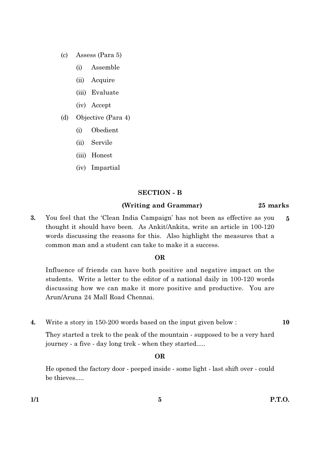- Assess (Para 5)  $(c)$ 
	- $(i)$ Assemble
	- $(ii)$ Acquire
	- (iii) Evaluate
	- (iv) Accept
- $(d)$ Objective (Para 4)
	- Obedient  $(i)$
	- $(ii)$ Servile
	- (iii) Honest
	- (iv) Impartial

#### **SECTION - B**

#### (Writing and Grammar)

#### 25 marks

3. You feel that the 'Clean India Campaign' has not been as effective as you  $\overline{\mathbf{5}}$ thought it should have been. As Ankit/Ankita, write an article in 100-120 words discussing the reasons for this. Also highlight the measures that a common man and a student can take to make it a success.

#### **OR**

Influence of friends can have both positive and negative impact on the students. Write a letter to the editor of a national daily in 100-120 words discussing how we can make it more positive and productive. You are Arun/Aruna 24 Mall Road Chennai.

 $\overline{4}$ . Write a story in 150-200 words based on the input given below:

They started a trek to the peak of the mountain - supposed to be a very hard journey - a five - day long trek - when they started.....

#### **OR**

He opened the factory door - peeped inside - some light - last shift over - could be thieves....

 $10$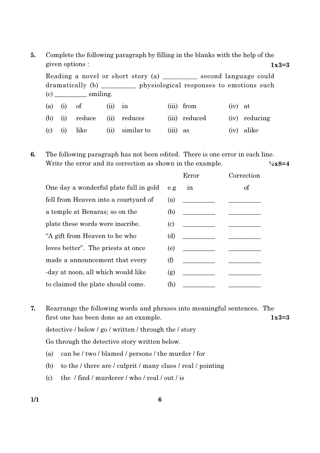- **5.** Complete the following paragraph by filling in the blanks with the help of the given options: Reading a novel or short story (a) \_\_\_\_\_\_\_\_\_ second language could dramatically (b) \_\_\_\_\_\_\_\_\_ physiological responses to emotions such  $\alpha$  observed to the smiling.  $(a)$   $(i)$  of  $(ii)$  in  $(iii)$  from  $(iv)$  at (b) (i) reduce (ii) reduces (iii) reduced (iv) reducing  $\begin{pmatrix} c & b \end{pmatrix}$  like ike (ii) similar t  $(iii)$  as (iv) alike  $1x3=3$
- **6.** The following paragraph has not been edited. There is one error in each line. Write the error and its correction as shown in the example. **3**<sub>2</sub>**x**8=4

|                                        |                            | $\rm Error$                                                                                                         | Correction |
|----------------------------------------|----------------------------|---------------------------------------------------------------------------------------------------------------------|------------|
| One day a wonderful plate full in gold | e.g.                       | in                                                                                                                  | οf         |
| fell from Heaven into a courty and of  | (a)                        |                                                                                                                     |            |
| a temple at Benaras; so on the         | (b)                        | <u> 1980 - Andrea Maria Alemania e</u>                                                                              |            |
| plate these words were inscribe.       | $\left( \mathrm{c}\right)$ |                                                                                                                     |            |
| "A gift from Heaven to he who          | (d)                        |                                                                                                                     |            |
| loves better". The priests at once     | (e)                        |                                                                                                                     |            |
| made a announcement that every         | (f)                        |                                                                                                                     |            |
| -day at noon, all which would like     | (g)                        | <u> 1989 - Johann John Stone, mars eta industrial eta industrial eta industrial eta industrial eta industrial e</u> |            |
| to claimed the plate should come.      | (h)                        |                                                                                                                     |            |

- **7.** Rearrange the following words and phrases into meaningful sentences. The first one has been done as an example. detective / below / go / written / through the / story Go through the detective story written below.  $1x3=3$ 
	- (a) can be  $\ell$  two  $\ell$  blamed  $\ell$  persons  $\ell$  the murder  $\ell$  for
	- $(b)$ o the / there are / culprit / many clues / real / pointing
	- $\epsilon$ he /find / murderer / who / real / out / is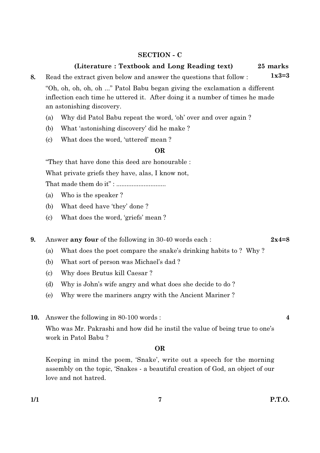#### **SECTION - C**

(Literature: Textbook and Long Reading text) 25 marks

 $1x3=3$ 8. Read the extract given below and answer the questions that follow: "Oh, oh, oh, oh, oh ..." Patol Babu began giving the exclamation a different inflection each time he uttered it. After doing it a number of times he made an astonishing discovery.

- Why did Patol Babu repeat the word, 'oh' over and over again?  $(a)$
- (b) What 'astonishing discovery' did he make?
- What does the word, 'uttered' mean?  $(c)$

#### **OR**

"They that have done this deed are honourable:

What private griefs they have, alas, I know not,

- Who is the speaker?  $(a)$
- $(b)$ What deed have 'they' done?
- What does the word, 'griefs' mean?  $(c)$

9. Answer any four of the following in 30-40 words each:

- What does the poet compare the snake's drinking habits to? Why?  $(a)$
- (b) What sort of person was Michael's dad?
- $\left( \mathrm{c}\right)$ Why does Brutus kill Caesar?
- (d) Why is John's wife angry and what does she decide to do?
- Why were the mariners angry with the Ancient Mariner? (e)
- 10. Answer the following in 80-100 words:

Who was Mr. Pakrashi and how did he instil the value of being true to one's work in Patol Babu?

#### **OR**

Keeping in mind the poem, 'Snake', write out a speech for the morning assembly on the topic, 'Snakes - a beautiful creation of God, an object of our love and not hatred.

 $\overline{7}$ 

 $2x4=8$ 

 $\overline{\mathbf{4}}$